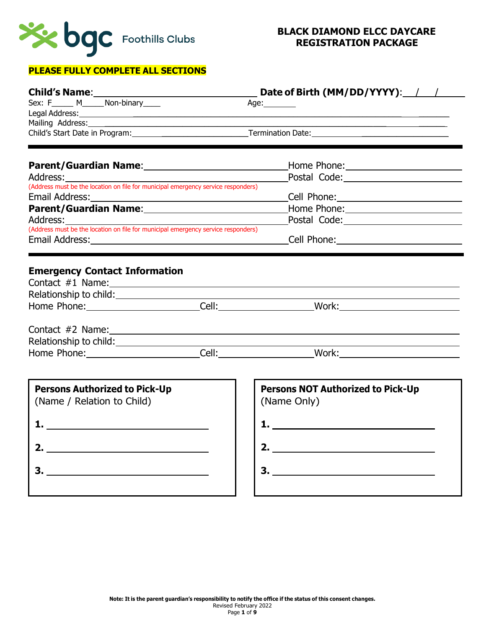

## **PLEASE FULLY COMPLETE ALL SECTIONS**

|                                                                                               | Date of Birth (MM/DD/YYYY): / /                                                                                                                                                                                                     |
|-----------------------------------------------------------------------------------------------|-------------------------------------------------------------------------------------------------------------------------------------------------------------------------------------------------------------------------------------|
| Sex: F______ M______ Non-binary_____                                                          | Age:_________                                                                                                                                                                                                                       |
|                                                                                               | Legal Address: <u>Alexander Address:</u> Alexander Additional Address: Alexander Address: Alexander Address: Alexander Address: Alexander Address: Alexander Address: Alexander Address: Alexander Address: Alexander Address: Alex |
|                                                                                               |                                                                                                                                                                                                                                     |
|                                                                                               |                                                                                                                                                                                                                                     |
|                                                                                               |                                                                                                                                                                                                                                     |
|                                                                                               |                                                                                                                                                                                                                                     |
| (Address must be the location on file for municipal emergency service responders)             |                                                                                                                                                                                                                                     |
|                                                                                               | Email Address: No. 2014 19:00:00 Cell Phone: Cell Phone: 2014 2014 2015 2016 2017 2018 2019 2014 2016 2017 20                                                                                                                       |
|                                                                                               | Parent/Guardian Name: Mame: Manual Albert Home Phone: Manual Albert Manual Albert Manual Albert Manual Albert                                                                                                                       |
| Address:<br>(Address must be the location on file for municipal emergency service responders) |                                                                                                                                                                                                                                     |
|                                                                                               |                                                                                                                                                                                                                                     |
|                                                                                               |                                                                                                                                                                                                                                     |
|                                                                                               |                                                                                                                                                                                                                                     |
|                                                                                               |                                                                                                                                                                                                                                     |
|                                                                                               | Home Phone: Cell: Cell: Work: Work:                                                                                                                                                                                                 |
| <b>Persons Authorized to Pick-Up</b><br>(Name / Relation to Child)                            | <b>Persons NOT Authorized to Pick-Up</b><br>(Name Only)                                                                                                                                                                             |
| $\mathbf{1.}$ . The contract of $\mathbf{1.}$                                                 |                                                                                                                                                                                                                                     |
|                                                                                               | 2. $\qquad \qquad$                                                                                                                                                                                                                  |
|                                                                                               |                                                                                                                                                                                                                                     |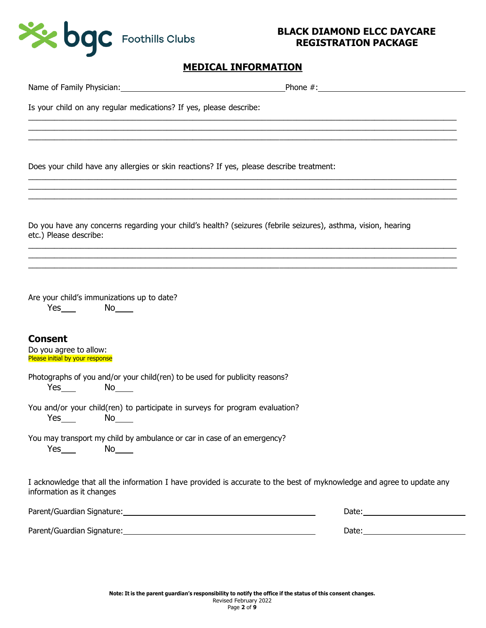

# **MEDICAL INFORMATION**

| Is your child on any regular medications? If yes, please describe:                                                                                                                                                                                                                                                                                                                                                                                                                                                                                                                                 |            |
|----------------------------------------------------------------------------------------------------------------------------------------------------------------------------------------------------------------------------------------------------------------------------------------------------------------------------------------------------------------------------------------------------------------------------------------------------------------------------------------------------------------------------------------------------------------------------------------------------|------------|
|                                                                                                                                                                                                                                                                                                                                                                                                                                                                                                                                                                                                    |            |
| Does your child have any allergies or skin reactions? If yes, please describe treatment:                                                                                                                                                                                                                                                                                                                                                                                                                                                                                                           |            |
| Do you have any concerns regarding your child's health? (seizures (febrile seizures), asthma, vision, hearing<br>etc.) Please describe:                                                                                                                                                                                                                                                                                                                                                                                                                                                            |            |
| Are your child's immunizations up to date?<br>$Yes$ No $No$                                                                                                                                                                                                                                                                                                                                                                                                                                                                                                                                        |            |
| <b>Consent</b><br>Do you agree to allow:<br>Please initial by your response                                                                                                                                                                                                                                                                                                                                                                                                                                                                                                                        |            |
| Photographs of you and/or your child(ren) to be used for publicity reasons?<br>$Yes$ No $No$                                                                                                                                                                                                                                                                                                                                                                                                                                                                                                       |            |
| You and/or your child(ren) to participate in surveys for program evaluation?<br>No results and the New York of the New York of the New York of the New York of the New York of the New York of the New York of the New York of the New York of the New York of the New York of the New York of the New York of<br>$Yes$ <sub>____</sub>                                                                                                                                                                                                                                                            |            |
| You may transport my child by ambulance or car in case of an emergency?<br>$Yes$ and $Yes$ and $Yes$ and $Yes$ and $Yes$ and $Yes$ and $Yes$ and $Yes$ and $Yes$ and $Yes$ and $Yes$ and $Yes$ and $Yes$ and $Yes$ and $Yes$ and $Yes$ and $Yes$ and $Yes$ and $Yes$ and $Yes$ and $Yes$ and $Yes$ and $Yes$ and $Yes$ and $Yes$ and $Yes$ and $Yes$ and $Yes$ a<br>No results and the New York of the New York of the New York of the New York of the New York of the New York of the New York of the New York of the New York of the New York of the New York of the New York of the New York of |            |
| I acknowledge that all the information I have provided is accurate to the best of myknowledge and agree to update any<br>information as it changes                                                                                                                                                                                                                                                                                                                                                                                                                                                 |            |
| Parent/Guardian Signature: National Account of the Contract of the Contract of the Contract of the Contract of                                                                                                                                                                                                                                                                                                                                                                                                                                                                                     | Date: 2008 |
|                                                                                                                                                                                                                                                                                                                                                                                                                                                                                                                                                                                                    |            |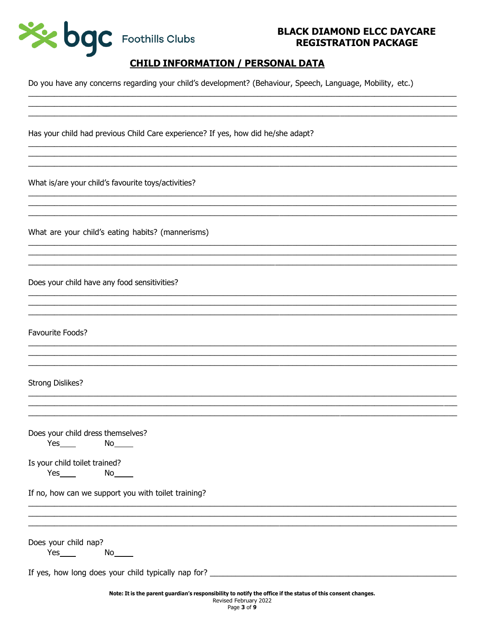

## **CHILD INFORMATION / PERSONAL DATA**

Do you have any concerns regarding your child's development? (Behaviour, Speech, Language, Mobility, etc.)

Has your child had previous Child Care experience? If yes, how did he/she adapt?

What is/are your child's favourite toys/activities?

What are your child's eating habits? (mannerisms)

Does your child have any food sensitivities?

Favourite Foods?

#### **Strong Dislikes?**

|     | Does your child dress themselves? |
|-----|-----------------------------------|
| Yes | Nο                                |

Is your child toilet trained?

If no, how can we support you with toilet training?

Does your child nap?

 $Yes$  No  $No$ 

If yes, how long does your child typically nap for?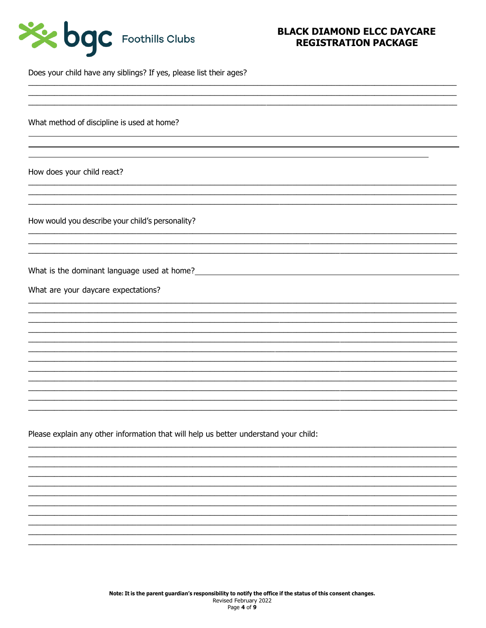

Does your child have any siblings? If yes, please list their ages?

What method of discipline is used at home?

How does your child react?

How would you describe your child's personality?

What is the dominant language used at home?<br>
Material and the state of the state of the state of the state of the state of the state of the state of the state of the state of the state of the state of the state of the stat

What are your daycare expectations?

Please explain any other information that will help us better understand your child: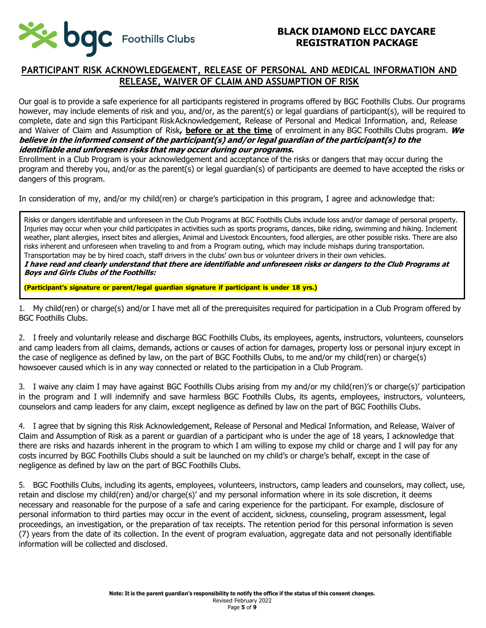

### **PARTICIPANT RISK ACKNOWLEDGEMENT, RELEASE OF PERSONAL AND MEDICAL INFORMATION AND RELEASE, WAIVER OF CLAIM AND ASSUMPTION OF RISK**

Our goal is to provide a safe experience for all participants registered in programs offered by BGC Foothills Clubs. Our programs however, may include elements of risk and you, and/or, as the parent(s) or legal guardians of participant(s), will be required to complete, date and sign this Participant RiskAcknowledgement, Release of Personal and Medical Information, and, Release and Waiver of Claim and Assumption of Risk**, before or at the time** of enrolment in any BGC Foothills Clubs program. **We believe in the informed consent of the participant(s) and/or legal guardian of the participant(s) to the identifiable and unforeseen risks that may occur during our programs.**

Enrollment in a Club Program is your acknowledgement and acceptance of the risks or dangers that may occur during the program and thereby you, and/or as the parent(s) or legal guardian(s) of participants are deemed to have accepted the risks or dangers of this program.

In consideration of my, and/or my child(ren) or charge's participation in this program, I agree and acknowledge that:

Risks or dangers identifiable and unforeseen in the Club Programs at BGC Foothills Clubs include loss and/or damage of personal property. Injuries may occur when your child participates in activities such as sports programs, dances, bike riding, swimming and hiking. Inclement weather, plant allergies, insect bites and allergies, Animal and Livestock Encounters, food allergies, are other possible risks. There are also risks inherent and unforeseen when traveling to and from a Program outing, which may include mishaps during transportation. Transportation may be by hired coach, staff drivers in the clubs' own bus or volunteer drivers in their own vehicles.

**I have read and clearly understand that there are identifiable and unforeseen risks or dangers to the Club Programs at Boys and Girls Clubs of the Foothills:**

**(Participant's signature or parent/legal guardian signature if participant is under 18 yrs.)**

1. My child(ren) or charge(s) and/or I have met all of the prerequisites required for participation in a Club Program offered by BGC Foothills Clubs.

2. I freely and voluntarily release and discharge BGC Foothills Clubs, its employees, agents, instructors, volunteers, counselors and camp leaders from all claims, demands, actions or causes of action for damages, property loss or personal injury except in the case of negligence as defined by law, on the part of BGC Foothills Clubs, to me and/or my child(ren) or charge(s) howsoever caused which is in any way connected or related to the participation in a Club Program.

3. I waive any claim I may have against BGC Foothills Clubs arising from my and/or my child(ren)'s or charge(s)' participation in the program and I will indemnify and save harmless BGC Foothills Clubs, its agents, employees, instructors, volunteers, counselors and camp leaders for any claim, except negligence as defined by law on the part of BGC Foothills Clubs.

4. I agree that by signing this Risk Acknowledgement, Release of Personal and Medical Information, and Release, Waiver of Claim and Assumption of Risk as a parent or guardian of a participant who is under the age of 18 years, I acknowledge that there are risks and hazards inherent in the program to which I am willing to expose my child or charge and I will pay for any costs incurred by BGC Foothills Clubs should a suit be launched on my child's or charge's behalf, except in the case of negligence as defined by law on the part of BGC Foothills Clubs.

5. BGC Foothills Clubs, including its agents, employees, volunteers, instructors, camp leaders and counselors, may collect, use, retain and disclose my child(ren) and/or charge(s)' and my personal information where in its sole discretion, it deems necessary and reasonable for the purpose of a safe and caring experience for the participant. For example, disclosure of personal information to third parties may occur in the event of accident, sickness, counseling, program assessment, legal proceedings, an investigation, or the preparation of tax receipts. The retention period for this personal information is seven (7) years from the date of its collection. In the event of program evaluation, aggregate data and not personally identifiable information will be collected and disclosed.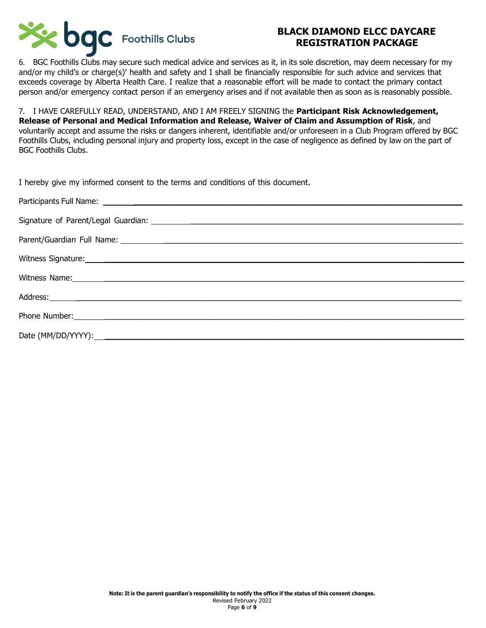

6. BGC Foothills Clubs may secure such medical advice and services as it, in its sole discretion, may deem necessary for my and/or my child's or charge(s)' health and safety and I shall be financially responsible for such advice and services that exceeds coverage by Alberta Health Care. I realize that a reasonable effort will be made to contact the primary contact person and/or emergency contact person if an emergency arises and if not available then as soon as is reasonably possible.

7. I HAVE CAREFULLY READ, UNDERSTAND, AND I AM FREELY SIGNING the **Participant Risk Acknowledgement, Release of Personal and Medical Information and Release, Waiver of Claim and Assumption of Risk**, and voluntarily accept and assume the risks or dangers inherent, identifiable and/or unforeseen in a Club Program offered by BGC Foothills Clubs, including personal injury and property loss, except in the case of negligence as defined by law on the part of BGC Foothills Clubs.

| I hereby give my informed consent to the terms and conditions of this document.                                                                                                                                                |
|--------------------------------------------------------------------------------------------------------------------------------------------------------------------------------------------------------------------------------|
|                                                                                                                                                                                                                                |
| Signature of Parent/Legal Guardian: Signature of Parents and Signature of Parents and Signature of Parent/Legal                                                                                                                |
|                                                                                                                                                                                                                                |
| Witness Signature: National Accounts of the Contract of the Contract of the Contract of the Contract of the Contract of the Contract of the Contract of the Contract of the Contract of the Contract of the Contract of the Co |
| Witness Name: 2008 Manual Communication of the Manual Communication of the Manual Communication of the Manual Communication of the Manual Communication of the Manual Communication of the Manual Communication of the Manual  |
|                                                                                                                                                                                                                                |
|                                                                                                                                                                                                                                |

Phone Number:  $\blacksquare$ 

Date (MM/DD/YYYY): \_\_\_\_\_\_\_\_\_\_\_\_\_\_\_\_\_\_\_\_\_\_\_\_\_\_\_\_\_\_\_\_\_\_\_\_\_\_\_\_\_\_\_\_\_\_\_\_\_\_\_\_\_\_\_\_\_\_\_\_\_\_\_\_\_\_\_\_\_\_\_\_\_\_\_\_\_\_\_\_\_\_\_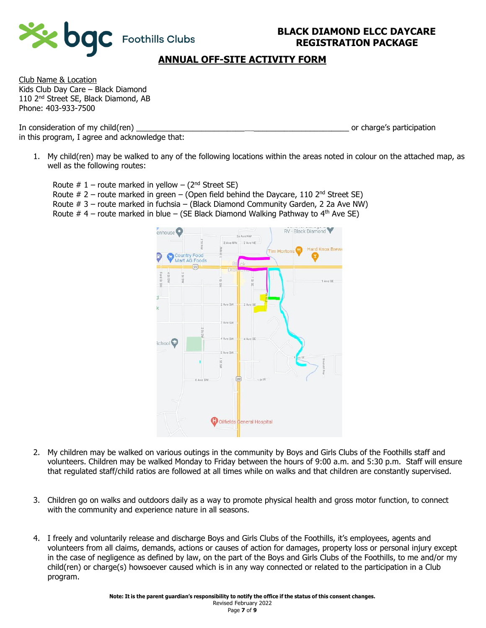



## **ANNUAL OFF-SITE ACTIVITY FORM**

Club Name & Location Kids Club Day Care – Black Diamond 110 2<sup>nd</sup> Street SE, Black Diamond, AB Phone: 403-933-7500

In consideration of my child(ren) and the same consideration of the values of charge's participation in this program, I agree and acknowledge that:

1. My child(ren) may be walked to any of the following locations within the areas noted in colour on the attached map, as well as the following routes:

Route  $# 1$  – route marked in yellow – ( $2<sup>nd</sup>$  Street SE) Route  $# 2$  – route marked in green – (Open field behind the Daycare, 110 2<sup>nd</sup> Street SE) Route # 3 – route marked in fuchsia – (Black Diamond Community Garden, 2 2a Ave NW) Route  $#$  4 – route marked in blue – (SE Black Diamond Walking Pathway to 4<sup>th</sup> Ave SE)



- 2. My children may be walked on various outings in the community by Boys and Girls Clubs of the Foothills staff and volunteers. Children may be walked Monday to Friday between the hours of 9:00 a.m. and 5:30 p.m. Staff will ensure that regulated staff/child ratios are followed at all times while on walks and that children are constantly supervised.
- 3. Children go on walks and outdoors daily as a way to promote physical health and gross motor function, to connect with the community and experience nature in all seasons.
- 4. I freely and voluntarily release and discharge Boys and Girls Clubs of the Foothills, it's employees, agents and volunteers from all claims, demands, actions or causes of action for damages, property loss or personal injury except in the case of negligence as defined by law, on the part of the Boys and Girls Clubs of the Foothills, to me and/or my child(ren) or charge(s) howsoever caused which is in any way connected or related to the participation in a Club program.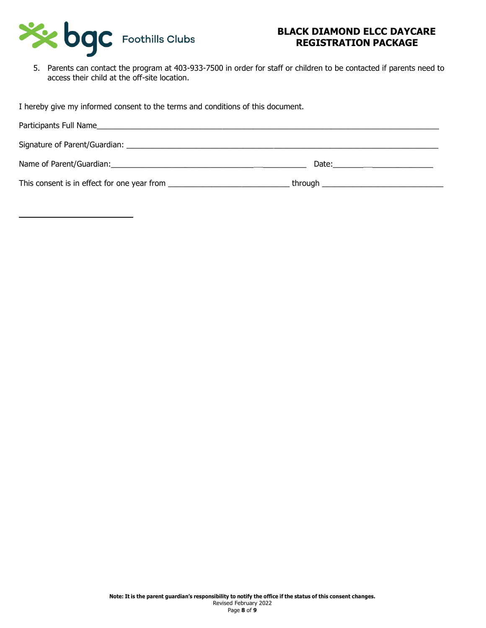

5. Parents can contact the program at 403-933-7500 in order for staff or children to be contacted if parents need to access their child at the off-site location.

I hereby give my informed consent to the terms and conditions of this document.

| Participants Full Name<br><u> 1989 - John Stein, Amerikaansk politiker (* 1908)</u> |                                                                                                                                                                                                                                |
|-------------------------------------------------------------------------------------|--------------------------------------------------------------------------------------------------------------------------------------------------------------------------------------------------------------------------------|
|                                                                                     |                                                                                                                                                                                                                                |
| Name of Parent/Guardian: Name of Parent/Guardian:                                   | Date: the contract of the contract of the contract of the contract of the contract of the contract of the contract of the contract of the contract of the contract of the contract of the contract of the contract of the cont |
|                                                                                     |                                                                                                                                                                                                                                |